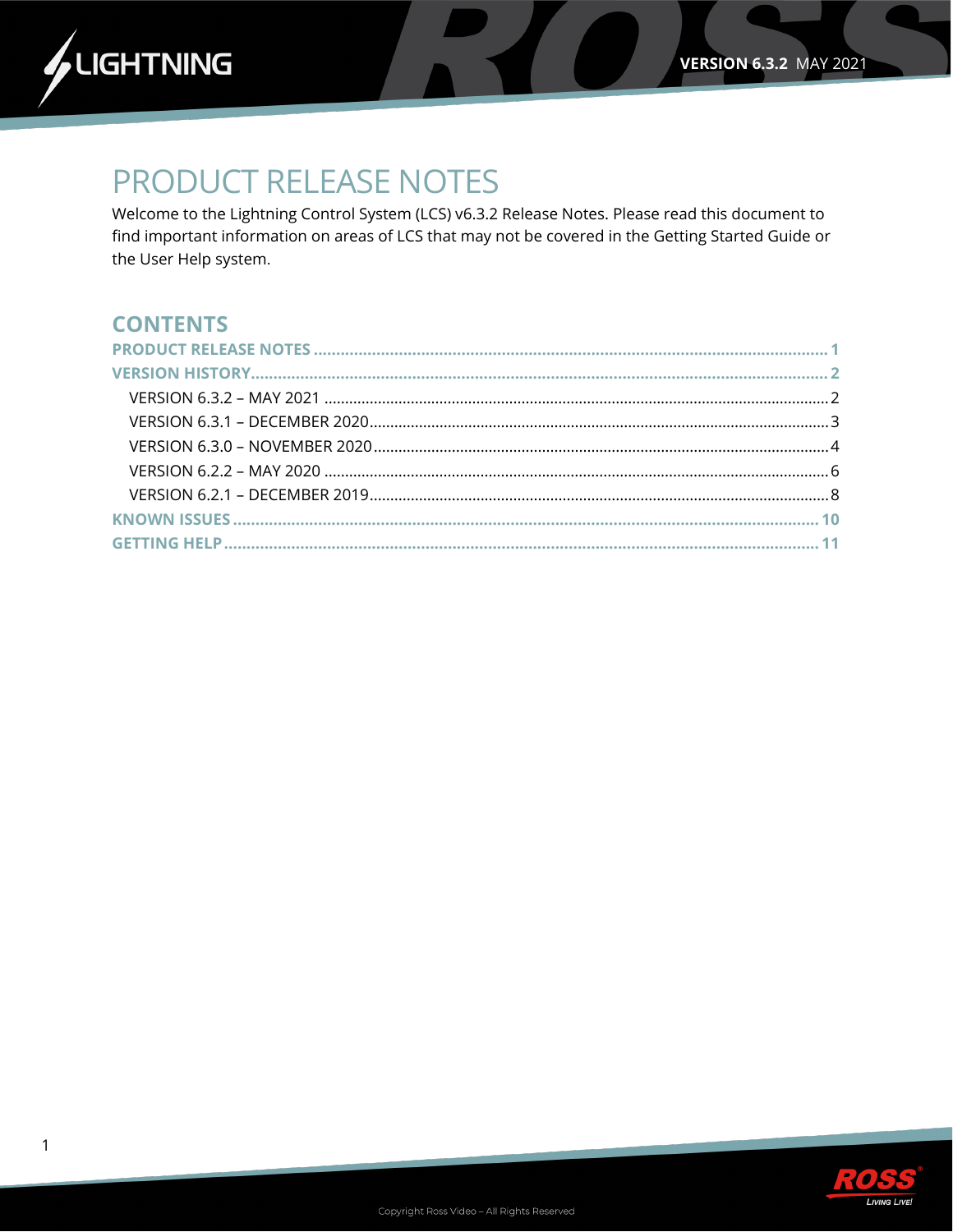# <span id="page-0-0"></span>PRODUCT RELEASE NOTES

Welcome to the Lightning Control System (LCS) v6.3.2 Release Notes. Please read this document to find important information on areas of LCS that may not be covered in the Getting Started Guide or the User Help system.

## **CONTENTS**

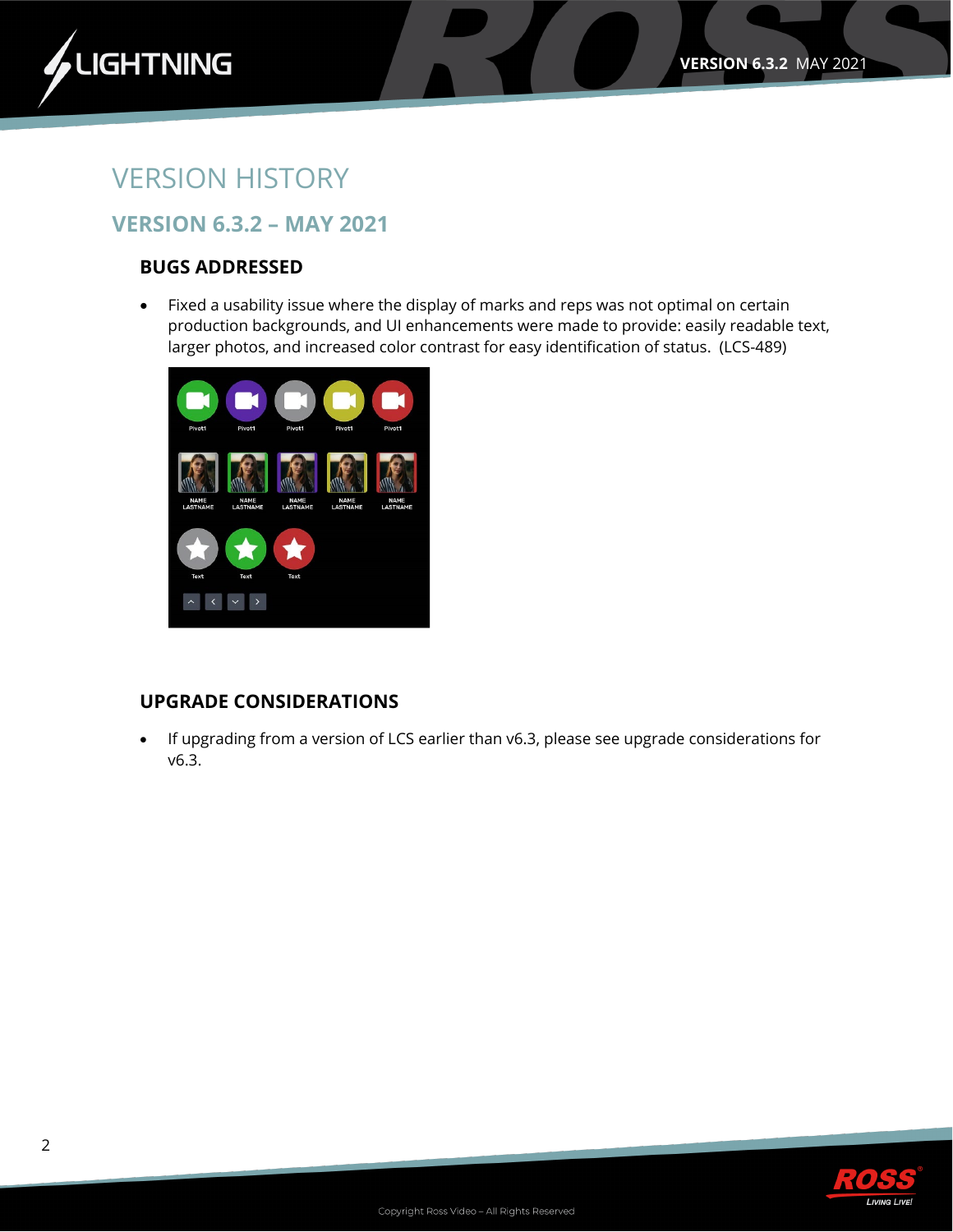

# <span id="page-1-0"></span>VERSION HISTORY

## <span id="page-1-1"></span>**VERSION 6.3.2 – MAY 2021**

## **BUGS ADDRESSED**

• Fixed a usability issue where the display of marks and reps was not optimal on certain production backgrounds, and UI enhancements were made to provide: easily readable text, larger photos, and increased color contrast for easy identification of status. (LCS-489)



## **UPGRADE CONSIDERATIONS**

• If upgrading from a version of LCS earlier than v6.3, please see upgrade considerations for v6.3.

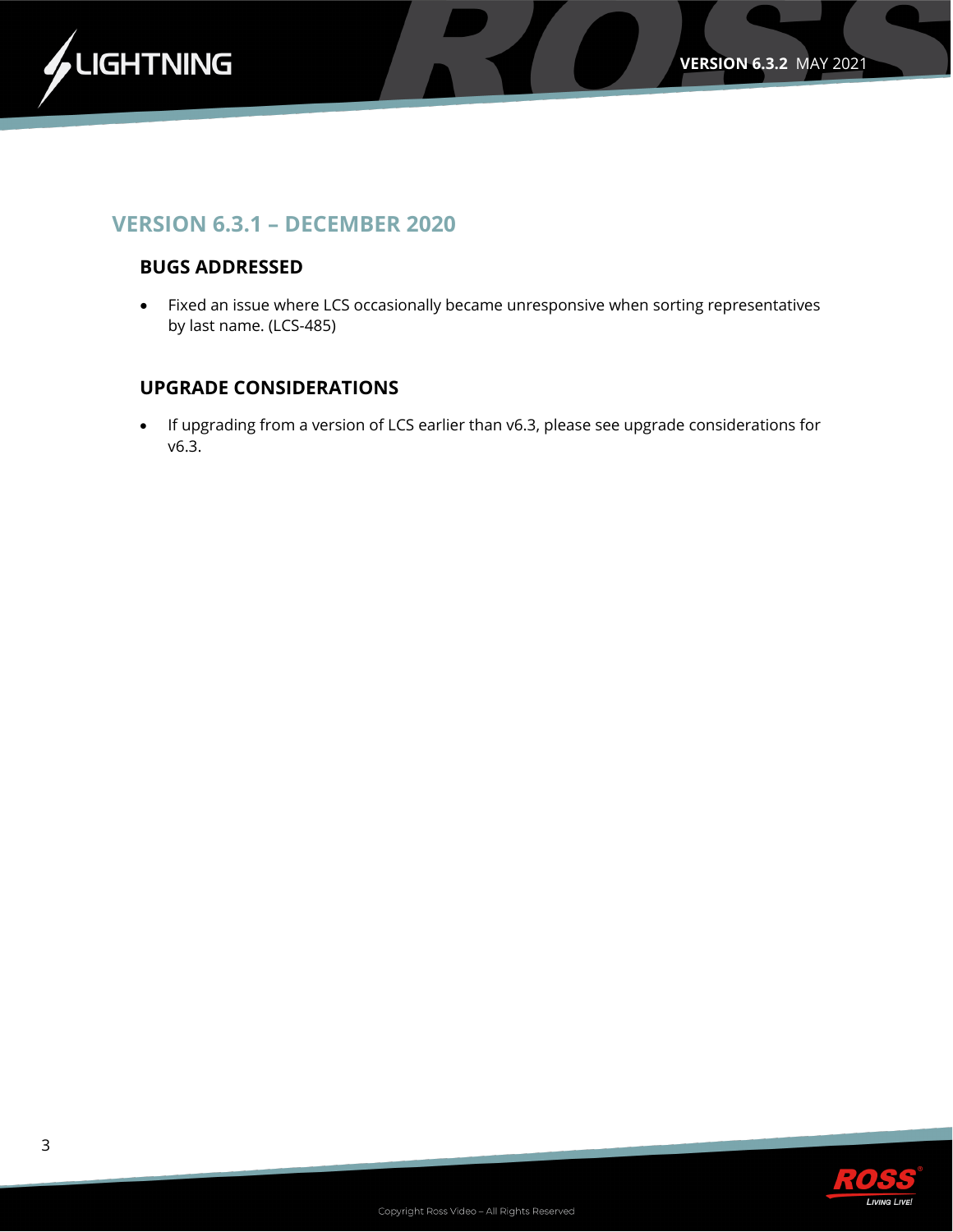

## <span id="page-2-0"></span>**VERSION 6.3.1 – DECEMBER 2020**

## **BUGS ADDRESSED**

• Fixed an issue where LCS occasionally became unresponsive when sorting representatives by last name. (LCS-485)

## **UPGRADE CONSIDERATIONS**

• If upgrading from a version of LCS earlier than v6.3, please see upgrade considerations for v6.3.

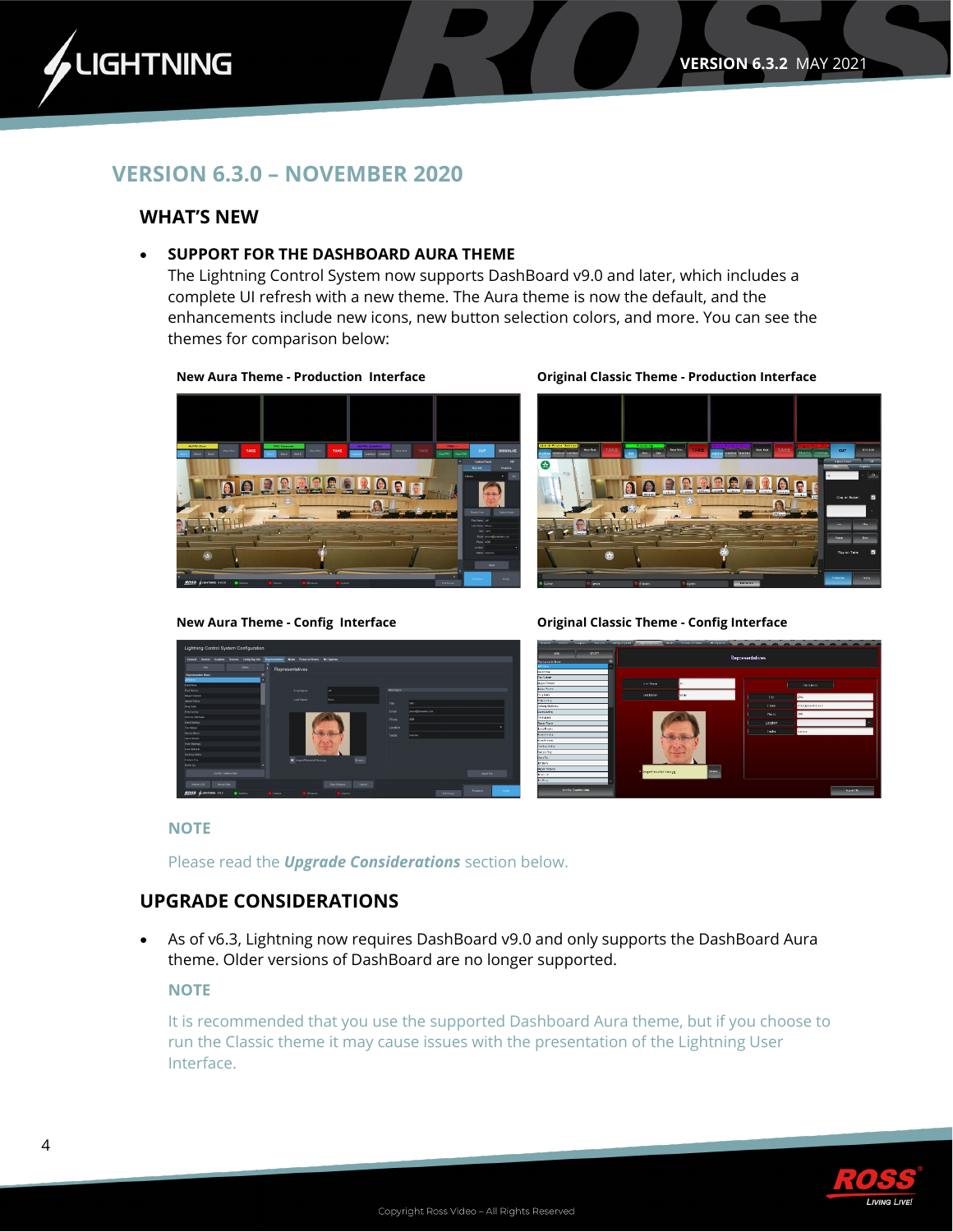

## <span id="page-3-0"></span>**VERSION 6.3.0 – NOVEMBER 2020**

#### **WHAT'S NEW**

#### • **SUPPORT FOR THE DASHBOARD AURA THEME**

The Lightning Control System now supports DashBoard v9.0 and later, which includes a complete UI refresh with a new theme. The Aura theme is now the default, and the enhancements include new icons, new button selection colors, and more. You can see the themes for comparison below:



**DO DO 3986** 







CI-



#### **NOTE**

Please read the *Upgrade Considerations* section below.

### **UPGRADE CONSIDERATIONS**

• As of v6.3, Lightning now requires DashBoard v9.0 and only supports the DashBoard Aura theme. Older versions of DashBoard are no longer supported.

#### **NOTE**

It is recommended that you use the supported Dashboard Aura theme, but if you choose to run the Classic theme it may cause issues with the presentation of the Lightning User Interface.

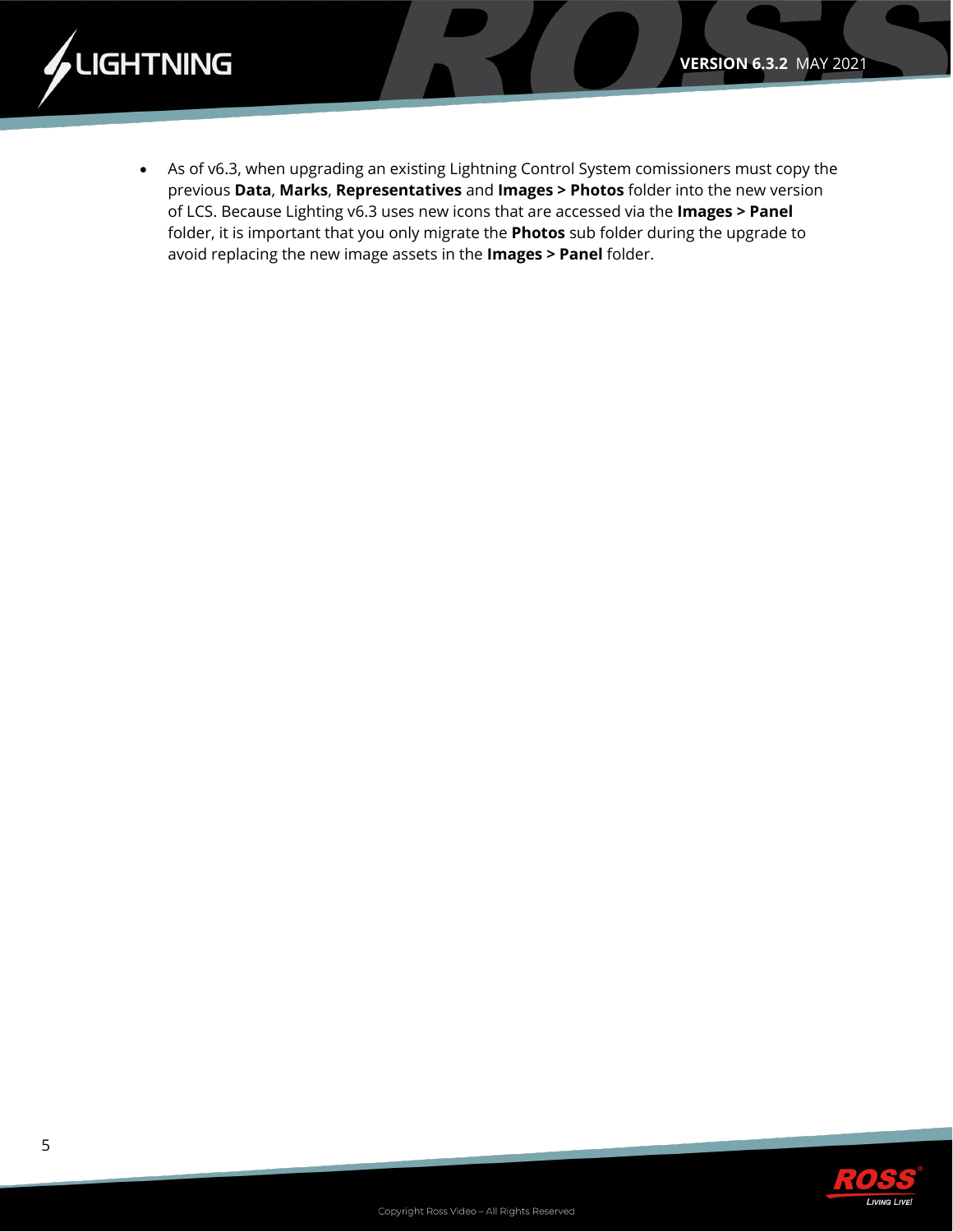

• As of v6.3, when upgrading an existing Lightning Control System comissioners must copy the previous **Data**, **Marks**, **Representatives** and **Images > Photos** folder into the new version of LCS. Because Lighting v6.3 uses new icons that are accessed via the **Images > Panel** folder, it is important that you only migrate the **Photos** sub folder during the upgrade to avoid replacing the new image assets in the **Images > Panel** folder.

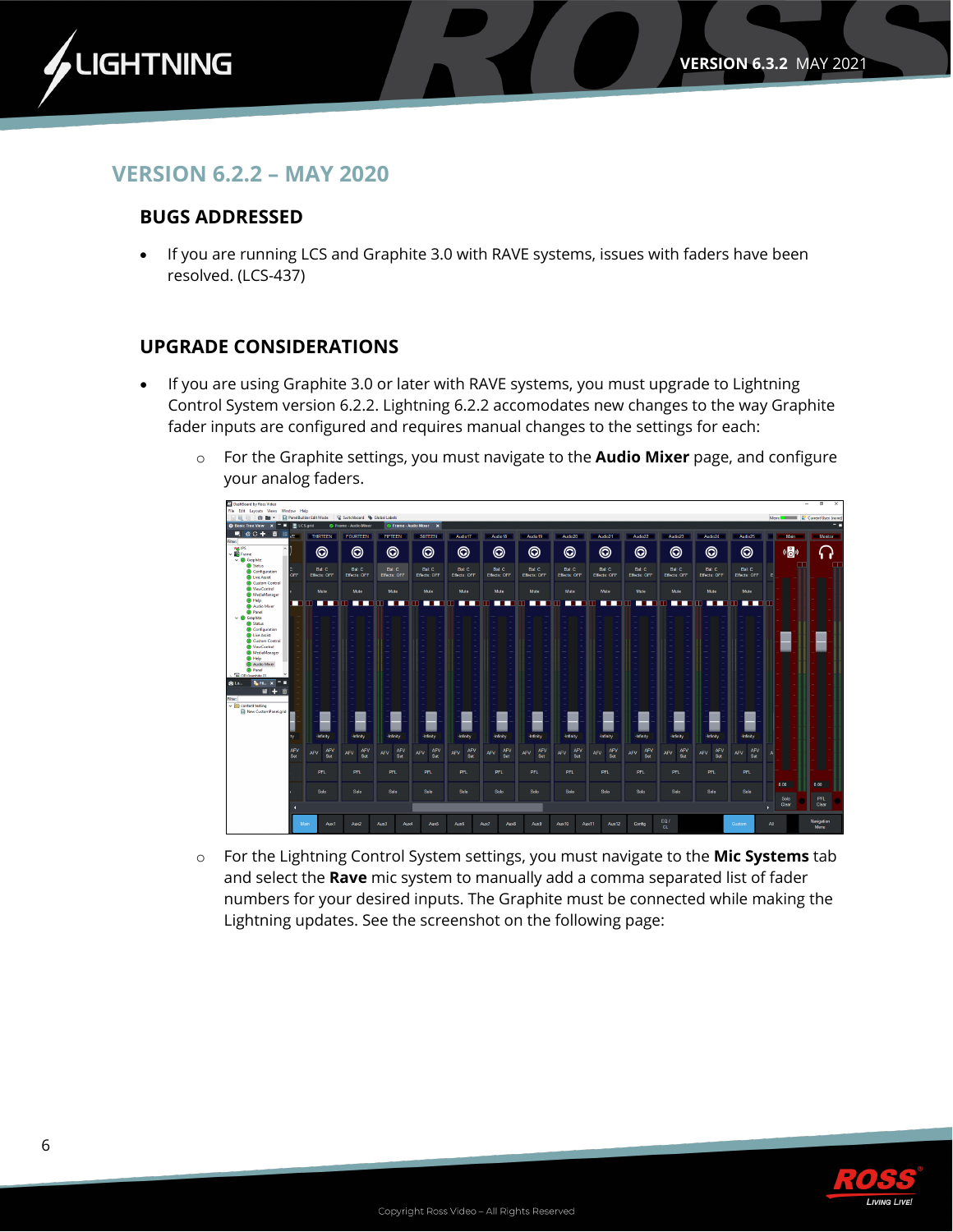

## <span id="page-5-0"></span>**VERSION 6.2.2 – MAY 2020**

### **BUGS ADDRESSED**

• If you are running LCS and Graphite 3.0 with RAVE systems, issues with faders have been resolved. (LCS-437)

### **UPGRADE CONSIDERATIONS**

- If you are using Graphite 3.0 or later with RAVE systems, you must upgrade to Lightning Control System version 6.2.2. Lightning 6.2.2 accomodates new changes to the way Graphite fader inputs are configured and requires manual changes to the settings for each:
	- o For the Graphite settings, you must navigate to the **Audio Mixer** page, and configure your analog faders.



o For the Lightning Control System settings, you must navigate to the **Mic Systems** tab and select the **Rave** mic system to manually add a comma separated list of fader numbers for your desired inputs. The Graphite must be connected while making the Lightning updates. See the screenshot on the following page:

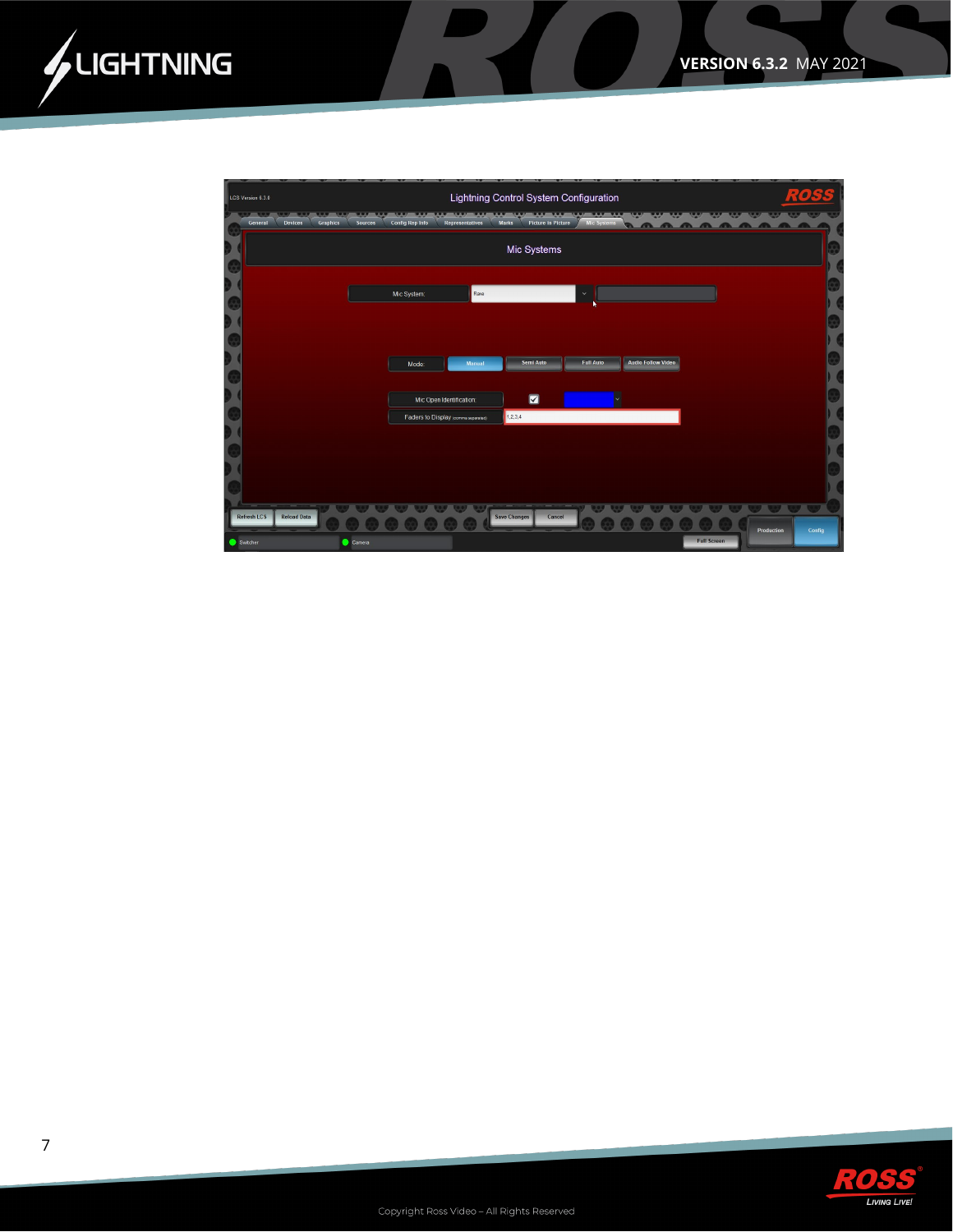

|          | <b>Lightning Control System Configuration</b><br>LCS Version 6.3.0                                                                                                  | 7055   |
|----------|---------------------------------------------------------------------------------------------------------------------------------------------------------------------|--------|
|          | æ<br>м<br>Devices<br>Graphics<br><b>Config Rep Info</b><br><b>Marks</b><br>General<br>Sources<br>Representatives<br><b>Picture in Picture</b><br><b>Mic Systems</b> |        |
|          | Mic Systems                                                                                                                                                         |        |
|          |                                                                                                                                                                     |        |
|          | Mic System:<br>Rave<br>$\checkmark$                                                                                                                                 |        |
|          |                                                                                                                                                                     |        |
|          |                                                                                                                                                                     |        |
|          | <b>Audio Follow Video</b><br><b>Full Auto</b><br>Semi Auto<br><b>Manual</b><br>Mode:                                                                                |        |
|          | $\overline{\mathbf{z}}$<br>×<br>Mic Open Identification:                                                                                                            |        |
|          | 1,2,3,4<br>Faders to Display (comma separated)                                                                                                                      |        |
|          |                                                                                                                                                                     |        |
|          |                                                                                                                                                                     |        |
|          |                                                                                                                                                                     |        |
|          | <b>Refresh LCS</b><br><b>Reload Data</b><br><b>Save Changes</b><br>Cancel<br>Production                                                                             | Config |
| Switcher | <b>Full Screen</b><br>Camera                                                                                                                                        |        |

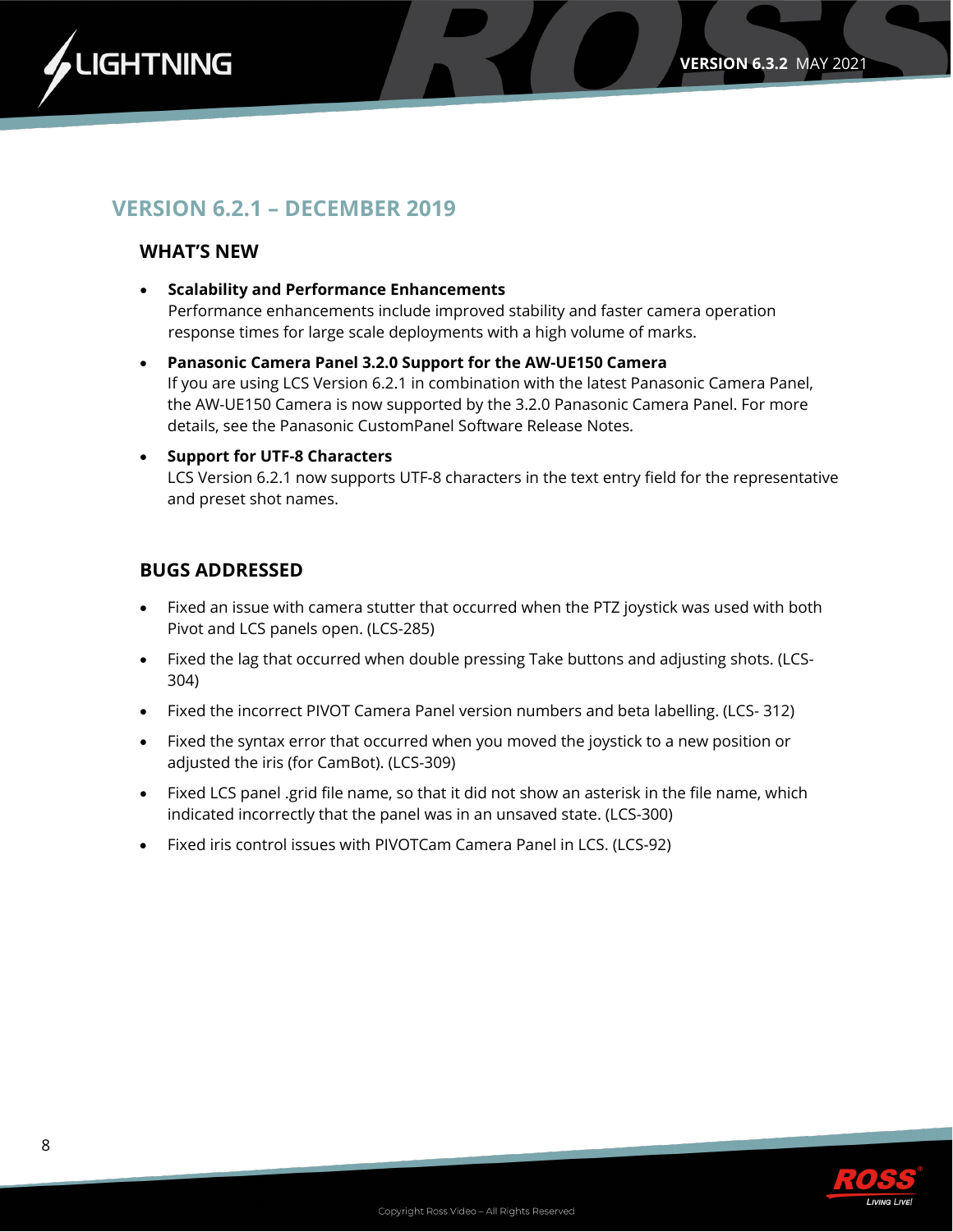

## <span id="page-7-0"></span>**VERSION 6.2.1 – DECEMBER 2019**

### **WHAT'S NEW**

- **Scalability and Performance Enhancements** Performance enhancements include improved stability and faster camera operation response times for large scale deployments with a high volume of marks.
- **Panasonic Camera Panel 3.2.0 Support for the AW-UE150 Camera** If you are using LCS Version 6.2.1 in combination with the latest Panasonic Camera Panel, the AW-UE150 Camera is now supported by the 3.2.0 Panasonic Camera Panel. For more details, see the Panasonic CustomPanel Software Release Notes.
- **Support for UTF-8 Characters** LCS Version 6.2.1 now supports UTF-8 characters in the text entry field for the representative and preset shot names.

### **BUGS ADDRESSED**

- Fixed an issue with camera stutter that occurred when the PTZ joystick was used with both Pivot and LCS panels open. (LCS-285)
- Fixed the lag that occurred when double pressing Take buttons and adjusting shots. (LCS-304)
- Fixed the incorrect PIVOT Camera Panel version numbers and beta labelling. (LCS- 312)
- Fixed the syntax error that occurred when you moved the joystick to a new position or adjusted the iris (for CamBot). (LCS-309)
- Fixed LCS panel .grid file name, so that it did not show an asterisk in the file name, which indicated incorrectly that the panel was in an unsaved state. (LCS-300)
- Fixed iris control issues with PIVOTCam Camera Panel in LCS. (LCS-92)

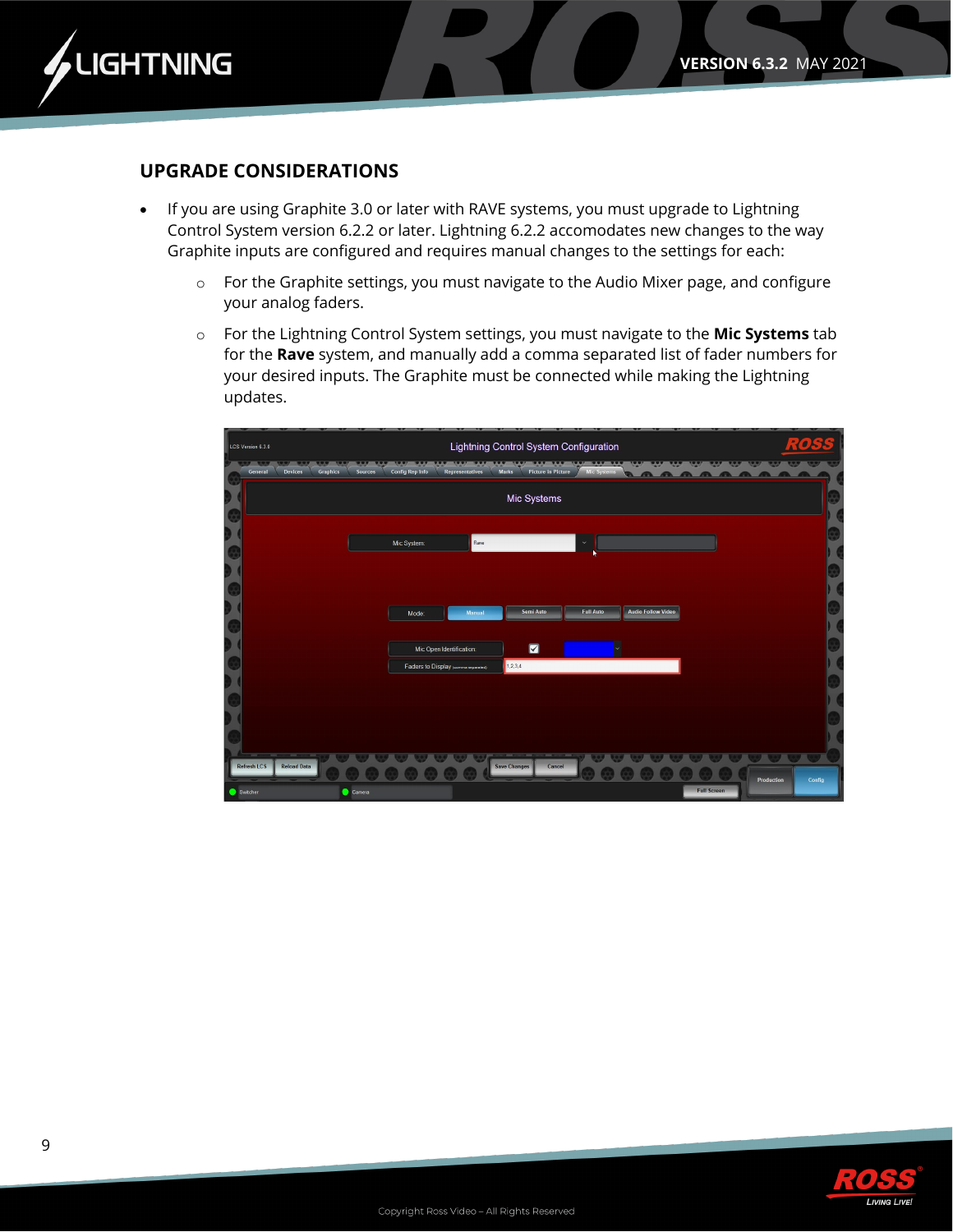

#### **UPGRADE CONSIDERATIONS**

- If you are using Graphite 3.0 or later with RAVE systems, you must upgrade to Lightning Control System version 6.2.2 or later. Lightning 6.2.2 accomodates new changes to the way Graphite inputs are configured and requires manual changes to the settings for each:
	- o For the Graphite settings, you must navigate to the Audio Mixer page, and configure your analog faders.
	- o For the Lightning Control System settings, you must navigate to the **Mic Systems** tab for the **Rave** system, and manually add a comma separated list of fader numbers for your desired inputs. The Graphite must be connected while making the Lightning updates.



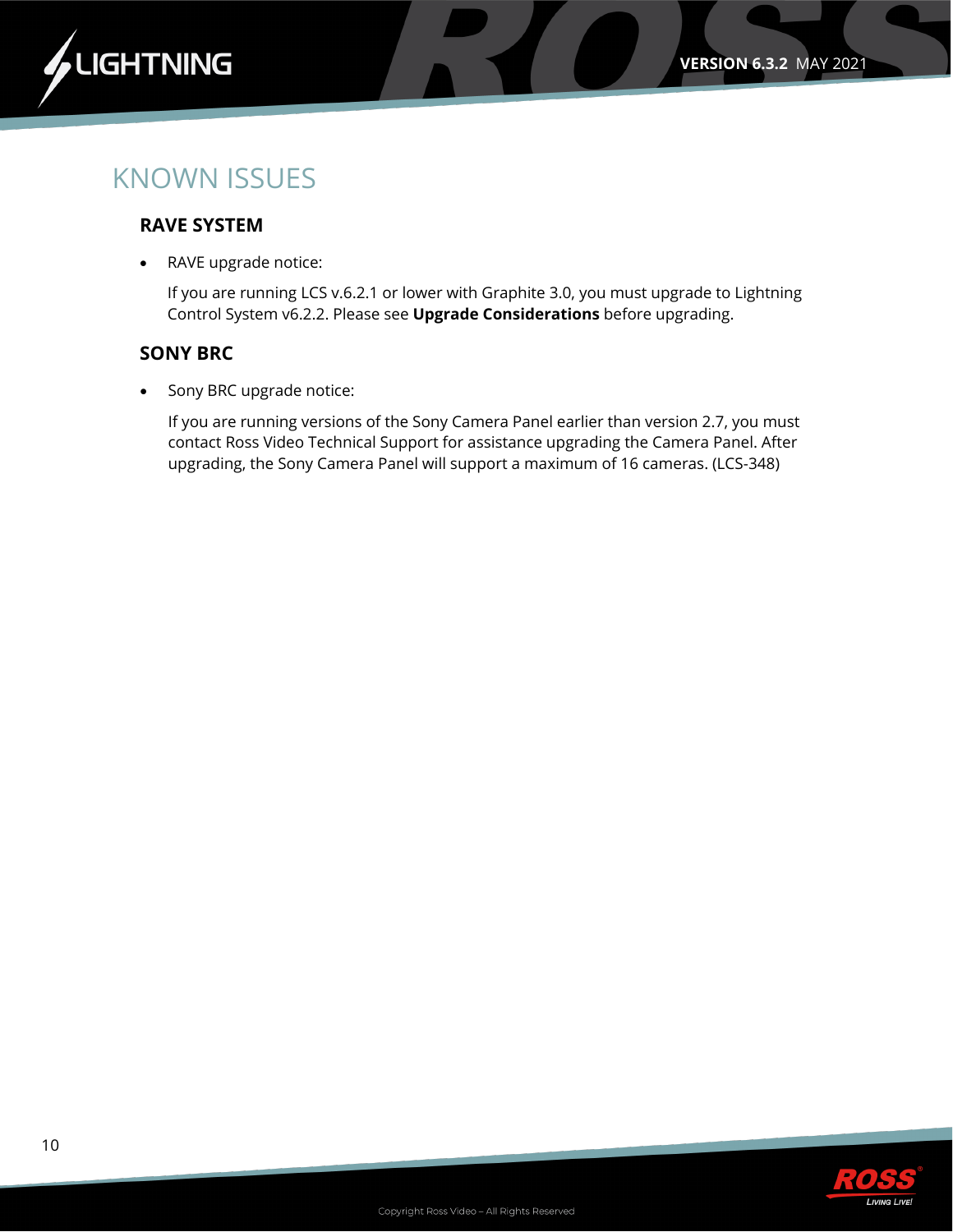

# <span id="page-9-0"></span>KNOWN ISSUES

## **RAVE SYSTEM**

• RAVE upgrade notice:

If you are running LCS v.6.2.1 or lower with Graphite 3.0, you must upgrade to Lightning Control System v6.2.2. Please see **Upgrade Considerations** before upgrading.

## **SONY BRC**

• Sony BRC upgrade notice:

If you are running versions of the Sony Camera Panel earlier than version 2.7, you must contact Ross Video Technical Support for assistance upgrading the Camera Panel. After upgrading, the Sony Camera Panel will support a maximum of 16 cameras. (LCS-348)